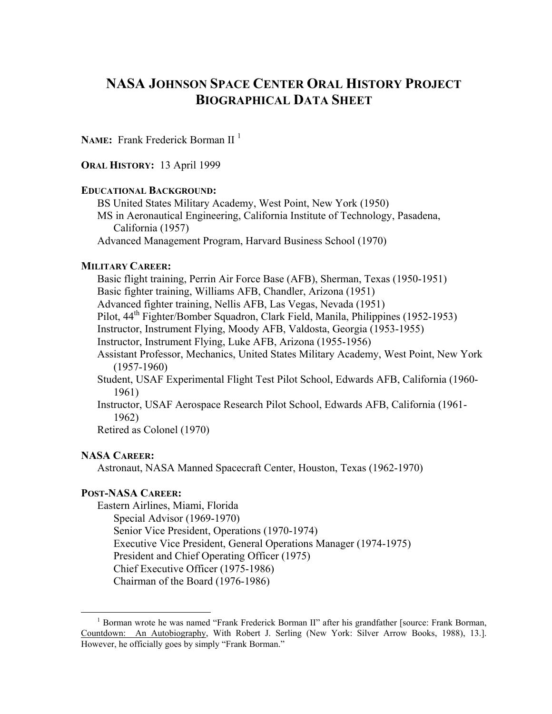# **NASA JOHNSON SPACE CENTER ORAL HISTORY PROJECT BIOGRAPHICAL DATA SHEET**

**NAME:** Frank Frederick Borman II<sup>[1](#page-0-0)</sup>

**ORAL HISTORY:** 13 April 1999

#### **EDUCATIONAL BACKGROUND:**

BS United States Military Academy, West Point, New York (1950) MS in Aeronautical Engineering, California Institute of Technology, Pasadena, California (1957) Advanced Management Program, Harvard Business School (1970)

#### **MILITARY CAREER:**

Basic flight training, Perrin Air Force Base (AFB), Sherman, Texas (1950-1951) Basic fighter training, Williams AFB, Chandler, Arizona (1951) Advanced fighter training, Nellis AFB, Las Vegas, Nevada (1951) Pilot, 44th Fighter/Bomber Squadron, Clark Field, Manila, Philippines (1952-1953) Instructor, Instrument Flying, Moody AFB, Valdosta, Georgia (1953-1955) Instructor, Instrument Flying, Luke AFB, Arizona (1955-1956) Assistant Professor, Mechanics, United States Military Academy, West Point, New York (1957-1960) Student, USAF Experimental Flight Test Pilot School, Edwards AFB, California (1960- 1961) Instructor, USAF Aerospace Research Pilot School, Edwards AFB, California (1961- 1962)

Retired as Colonel (1970)

#### **NASA CAREER:**

Astronaut, NASA Manned Spacecraft Center, Houston, Texas (1962-1970)

#### **POST-NASA CAREER:**

Eastern Airlines, Miami, Florida Special Advisor (1969-1970) Senior Vice President, Operations (1970-1974) Executive Vice President, General Operations Manager (1974-1975) President and Chief Operating Officer (1975) Chief Executive Officer (1975-1986) Chairman of the Board (1976-1986)

<span id="page-0-0"></span><sup>&</sup>lt;sup>1</sup> Borman wrote he was named "Frank Frederick Borman II" after his grandfather [source: Frank Borman, Countdown: An Autobiography, With Robert J. Serling (New York: Silver Arrow Books, 1988), 13.]. However, he officially goes by simply "Frank Borman."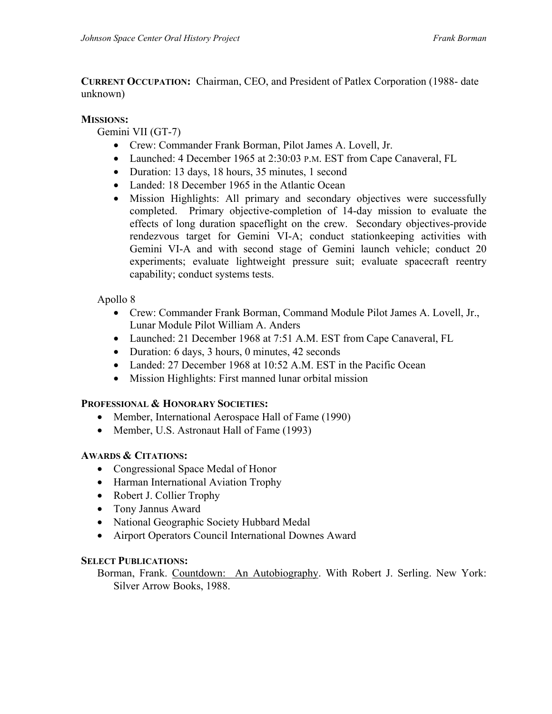**CURRENT OCCUPATION:** Chairman, CEO, and President of Patlex Corporation (1988- date unknown)

## **MISSIONS:**

Gemini VII (GT-7)

- Crew: Commander Frank Borman, Pilot James A. Lovell, Jr.
- Launched: 4 December 1965 at 2:30:03 P.M. EST from Cape Canaveral, FL
- Duration: 13 days, 18 hours, 35 minutes, 1 second
- Landed: 18 December 1965 in the Atlantic Ocean
- Mission Highlights: All primary and secondary objectives were successfully completed. Primary objective-completion of 14-day mission to evaluate the effects of long duration spaceflight on the crew. Secondary objectives-provide rendezvous target for Gemini VI-A; conduct stationkeeping activities with Gemini VI-A and with second stage of Gemini launch vehicle; conduct 20 experiments; evaluate lightweight pressure suit; evaluate spacecraft reentry capability; conduct systems tests.

# Apollo 8

- Crew: Commander Frank Borman, Command Module Pilot James A. Lovell, Jr., Lunar Module Pilot William A. Anders
- Launched: 21 December 1968 at 7:51 A.M. EST from Cape Canaveral, FL
- Duration: 6 days, 3 hours, 0 minutes, 42 seconds
- Landed: 27 December 1968 at 10:52 A.M. EST in the Pacific Ocean
- Mission Highlights: First manned lunar orbital mission

## **PROFESSIONAL & HONORARY SOCIETIES:**

- Member, International Aerospace Hall of Fame (1990)
- Member, U.S. Astronaut Hall of Fame (1993)

## **AWARDS & CITATIONS:**

- Congressional Space Medal of Honor
- Harman International Aviation Trophy
- Robert J. Collier Trophy
- Tony Jannus Award
- National Geographic Society Hubbard Medal
- Airport Operators Council International Downes Award

## **SELECT PUBLICATIONS:**

Borman, Frank. Countdown: An Autobiography. With Robert J. Serling. New York: Silver Arrow Books, 1988.